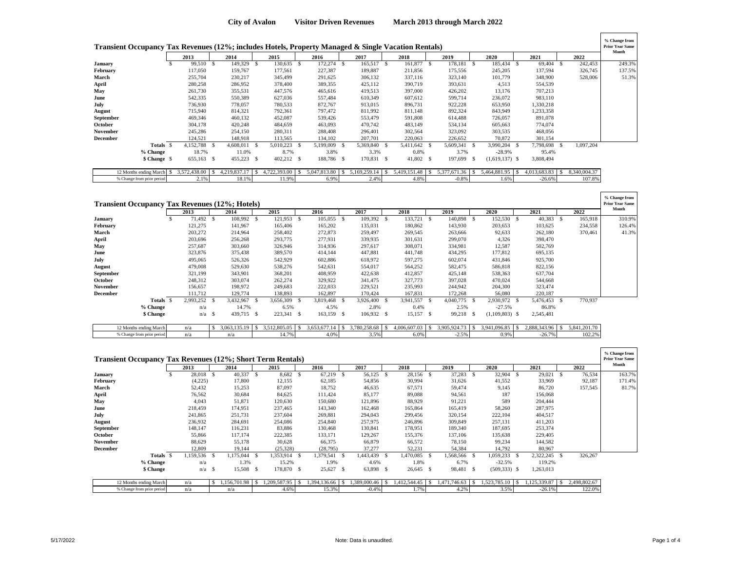|           | Transient Occupancy Tax Revenues (12%; includes Hotels, Property Managed & Single Vacation Rentals) |              |              |    |              |     |              |      |              |              |     |              |          |                  |     |              |      |              | % Change from<br><b>Prior Year Same</b><br>Month |
|-----------|-----------------------------------------------------------------------------------------------------|--------------|--------------|----|--------------|-----|--------------|------|--------------|--------------|-----|--------------|----------|------------------|-----|--------------|------|--------------|--------------------------------------------------|
|           |                                                                                                     | 2013         | 2014         |    | 2015         |     | 2016         |      | 2017         | 2018         |     | 2019         |          | 2020             |     | 2021         |      | 2022         |                                                  |
| January   |                                                                                                     | 99,510 \$    | 149,329      | -S | 130,635 \$   |     | 172,274      | - \$ | 165,517 \$   | 161,877      | - S | 178,181      | - \$     | 185,434          | - S | 69,404 \$    |      | 242,453      | 249.3%                                           |
| February  |                                                                                                     | 117,050      | 159,767      |    | 177,561      |     | 227,387      |      | 189,887      | 211,856      |     | 175,556      |          | 245,205          |     | 137,594      |      | 326,745      | 137.5%                                           |
| March     |                                                                                                     | 255,704      | 230,217      |    | 345,499      |     | 291,625      |      | 306,132      | 337,116      |     | 323,140      |          | 101,779          |     | 348,900      |      | 528,006      | 51.3%                                            |
| April     |                                                                                                     | 280,258      | 286,952      |    | 378,400      |     | 389,355      |      | 425,112      | 390,719      |     | 393,631      |          | 4,513            |     | 554,539      |      |              |                                                  |
| May       |                                                                                                     | 261,730      | 355,531      |    | 447,576      |     | 465,616      |      | 419,513      | 397,000      |     | 426,202      |          | 13,176           |     | 707,213      |      |              |                                                  |
| June      |                                                                                                     | 542,335      | 550,389      |    | 627,036      |     | 557,484      |      | 610,349      | 607,612      |     | 599,714      |          | 236,072          |     | 983,110      |      |              |                                                  |
| July      |                                                                                                     | 736,930      | 778,057      |    | 780,533      |     | 872,767      |      | 913,015      | 896,731      |     | 922,228      |          | 653,950          |     | 1,330,218    |      |              |                                                  |
| August    |                                                                                                     | 715,940      | 814,321      |    | 792,361      |     | 797,472      |      | 811,992      | 811,148      |     | 892,324      |          | 843,949          |     | 1,233,358    |      |              |                                                  |
| September |                                                                                                     | 469,346      | 460,132      |    | 452,087      |     | 539,426      |      | 553,479      | 591,808      |     | 614,488      |          | 726,057          |     | 891,078      |      |              |                                                  |
| October   |                                                                                                     | 304,178      | 420,248      |    | 484,659      |     | 463,093      |      | 470,742      | 483,149      |     | 534,134      |          | 605,663          |     | 774,074      |      |              |                                                  |
| November  |                                                                                                     | 245,286      | 254,150      |    | 280,311      |     | 288,408      |      | 296,401      | 302,564      |     | 323,092      |          | 303,535          |     | 468,056      |      |              |                                                  |
| December  |                                                                                                     | 124,521      | 148,918      |    | 113,565      |     | 134,102      |      | 207,701      | 220,063      |     | 226,652      |          | 70,872           |     | 301,154      |      |              |                                                  |
|           | Totals \$                                                                                           | 4,152,788 \$ | 4,608,011 \$ |    | 5,010,223    | - S | 5,199,009    |      | 5,369,840 \$ | 5,411,642 \$ |     | 5,609,341 \$ |          | 3,990,204        | - 8 | 7,798,698    | - \$ | 1,097,204    |                                                  |
|           | % Change                                                                                            | 18.7%        | 11.0%        |    | 8.7%         |     | 3.8%         |      | 3.3%         | 0.8%         |     | 3.7%         |          | $-28.9%$         |     | 95.4%        |      |              |                                                  |
|           | \$ Change \$                                                                                        | 655,163 \$   | 455,223 \$   |    | $402,212$ \$ |     | 188,786 \$   |      | 170,831 \$   | 41,802 \$    |     | 197,699      | <b>S</b> | $(1,619,137)$ \$ |     | 3,808,494    |      |              |                                                  |
|           | 12 Months ending March<br>-S                                                                        | 3,572,438.00 | 4,219,837.1  |    | 4,722,393.00 |     | 5,047,813.80 |      | 5,169,259.14 | 5,419,151.48 |     | 5,377,671.36 |          | 5,464,881.95     |     | 4,013,683.83 |      | 8,340,004.37 |                                                  |
|           | % Change from prior period                                                                          | 2.1%         | 18.1%        |    | 11.9%        |     | 6.9%         |      | 2.4%         | 4.8%         |     | $-0.8%$      |          | 1.6%             |     | $-26.6%$     |      | 107.8%       |                                                  |

|                | <b>Transient Occupancy Tax Revenues (12%; Hotels)</b> |           |                   |     |                   |      |                    |      |              |              |              |      |                 |      |                  |     |              |   |              | % Change from<br><b>Prior Year Same</b><br>Month |
|----------------|-------------------------------------------------------|-----------|-------------------|-----|-------------------|------|--------------------|------|--------------|--------------|--------------|------|-----------------|------|------------------|-----|--------------|---|--------------|--------------------------------------------------|
|                |                                                       | 2013      | 2014              |     | 2015              |      | 2016               |      | 2017         |              | 2018         |      | 2019            |      | 2020             |     | 2021         |   | 2022         |                                                  |
| January        |                                                       | 71,492    | 108,992 \$        |     | 121,953           | - S  | 105,055            | - \$ | 109,392      | - \$         | 133,721      | -S   | 140,898         | - \$ | 152,530          |     | 40,383       |   | 165,918      | 310.9%                                           |
| February       |                                                       | 121,275   | 141,967           |     | 165,406           |      | 165,202            |      | 135,031      |              | 180,862      |      | 143,930         |      | 203,653          |     | 103,625      |   | 234,558      | 126.4%                                           |
| March          |                                                       | 203,272   | 214,964           |     | 258,402           |      | 272,873            |      | 259,497      |              | 269,545      |      | 263,666         |      | 92,633           |     | 262,180      |   | 370,461      | 41.3%                                            |
| April          |                                                       | 203,696   | 256,268           |     | 293,775           |      | 277,931            |      | 339,935      |              | 301,631      |      | 299,070         |      | 4,326            |     | 398,470      |   |              |                                                  |
| May            |                                                       | 257,687   | 303,660           |     | 326,946           |      | 314,936            |      | 297,617      |              | 308,071      |      | 334,981         |      | 12,587           |     | 502,769      |   |              |                                                  |
| June           |                                                       | 323,876   | 375,438           |     | 389,570           |      | 414,144            |      | 447,881      |              | 441,748      |      | 434,295         |      | 177,812          |     | 695,135      |   |              |                                                  |
| July           |                                                       | 495,065   | 526,326           |     | 542,929           |      | 602,886            |      | 618,972      |              | 597,275      |      | 602,074         |      | 431,846          |     | 925,700      |   |              |                                                  |
| August         |                                                       | 479,008   | 529,630           |     | 538,276           |      | 542,631            |      | 554,017      |              | 564,252      |      | 582,475         |      | 586,818          |     | 822,156      |   |              |                                                  |
| September      |                                                       | 321,199   | 343,901           |     | 368,201           |      | 408,959            |      | 422,638      |              | 412,857      |      | 425,148         |      | 538,363          |     | 637,704      |   |              |                                                  |
| <b>October</b> |                                                       | 248,312   | 303,074           |     | 262,274           |      | 329,922            |      | 341,475      |              | 327,773      |      | 397,028         |      | 470,024          |     | 544,668      |   |              |                                                  |
| November       |                                                       | 156,657   | 198,972           |     | 249,683           |      | 222,033            |      | 229,521      |              | 235,993      |      | 244,942         |      | 204,300          |     | 323,474      |   |              |                                                  |
| December       |                                                       | 111,712   | 129,774           |     | 138,893           |      | 162,897            |      | 170,424      |              | 167,831      |      | 172,268         |      | 56,080           |     | 220,187      |   |              |                                                  |
|                | Totals \$                                             | 2,993,252 | 3,432,967         | - S | 3,656,309         | - \$ | 3,819,468          | - \$ | 3,926,400    | - \$         | 3,941,557    | - \$ | 4,040,775       | - S  | 2.930.972        | - S | 5,476,453    |   | 770,937      |                                                  |
|                | % Change                                              | n/a       | 14.7%             |     | 6.5%              |      | 4.5%               |      | 2.8%         |              | 0.4%         |      | 2.5%            |      | $-27.5%$         |     | 86.8%        |   |              |                                                  |
|                | \$ Change                                             | $n/a$ \$  | 439,715 \$        |     | 223,341 \$        |      | 163,159            | - \$ | 106,932 \$   |              | 15,157       | -S   | 99,218          | - 85 | $(1,109,803)$ \$ |     | 2,545,481    |   |              |                                                  |
|                | 12 Months ending March                                | n/a       | $3,063,135.19$ \$ |     | $3,512,805.05$ \$ |      | $3,653,677.14$ \\$ |      | 3,780,258.68 | <sup>S</sup> | 4,006,607.03 | -S   | 3.905.924.73 \$ |      |                  |     | 2,888,343.96 | S | 5.841.201.70 |                                                  |

% Change from prior period n/a | n/a | 14.7% 4.0% 3.5% 6.0% -2.5% 0.9% 0.9% -26.7% 102.2%

|                 | <b>Transient Occupancy Tax Revenues (12%; Short Term Rentals)</b> | 2013      | 2014         | 2015           | 2016              |               | 2017        |      | 2018         |     | 2019         |      | 2020            |      | 2021         |      | 2022         | % Change from<br><b>Prior Year Same</b><br>Month |
|-----------------|-------------------------------------------------------------------|-----------|--------------|----------------|-------------------|---------------|-------------|------|--------------|-----|--------------|------|-----------------|------|--------------|------|--------------|--------------------------------------------------|
|                 |                                                                   |           |              |                |                   |               |             |      |              |     |              |      |                 |      |              |      |              |                                                  |
| January         |                                                                   | 28,018 \$ | 40,337 \$    | 8,682 \$       |                   | $67,219$ \$   | 56,125 \$   |      | 28,156 \$    |     | 37,283       | - \$ | 32,904 \$       |      | 29,021       | - \$ | 76,534       | 163.7%                                           |
| February        |                                                                   | (4,225)   | 17,800       | 12,155         | 62,185            |               | 54,856      |      | 30,994       |     | 31,626       |      | 41,552          |      | 33,969       |      | 92,187       | 171.4%                                           |
| March           |                                                                   | 52,432    | 15,253       | 87,097         | 18,752            |               | 46,635      |      | 67,571       |     | 59,474       |      | 9,145           |      | 86,720       |      | 157,545      | 81.7%                                            |
| April           |                                                                   | 76,562    | 30,684       | 84,625         | 111,424           |               | 85,177      |      | 89,088       |     | 94,561       |      | 187             |      | 156,068      |      |              |                                                  |
| May             |                                                                   | 4,043     | 51,871       | 120,630        | 150,680           |               | 121,896     |      | 88,929       |     | 91,221       |      | 589             |      | 204,444      |      |              |                                                  |
| June            |                                                                   | 218,459   | 174,951      | 237,465        | 143,340           |               | 162,468     |      | 165,864      |     | 165,419      |      | 58,260          |      | 287,975      |      |              |                                                  |
| July            |                                                                   | 241,865   | 251,731      | 237,604        | 269,881           |               | 294,043     |      | 299,456      |     | 320,154      |      | 222,104         |      | 404,517      |      |              |                                                  |
| August          |                                                                   | 236,932   | 284,691      | 254,086        | 254,840           |               | 257,975     |      | 246,896      |     | 309,849      |      | 257,131         |      | 411,203      |      |              |                                                  |
| September       |                                                                   | 148,147   | 116,231      | 83,886         | 130,468           |               | 130,841     |      | 178,951      |     | 189,340      |      | 187,695         |      | 253,374      |      |              |                                                  |
| October         |                                                                   | 55,866    | 117,174      | 222,385        | 133,171           |               | 129,267     |      | 155,376      |     | 137,106      |      | 135,638         |      | 229,405      |      |              |                                                  |
| <b>November</b> |                                                                   | 88,629    | 55,178       | 30,628         | 66,375            |               | 66,879      |      | 66,572       |     | 78,150       |      | 99,234          |      | 144,582      |      |              |                                                  |
| <b>December</b> |                                                                   | 12,809    | 19,144       | (25, 328)      | (28, 795)         |               | 37,277      |      | 52,231       |     | 54,384       |      | 14,792          |      | 80,967       |      |              |                                                  |
|                 | Totals \$                                                         | 1,159,536 | 1,175,044    | .353,914<br>-8 | 1,379,541<br>- \$ | $\mathcal{S}$ | 1,443,439   | - \$ | 1,470,085    | - S | 1,568,566 \$ |      | 1,059,233       | - \$ | 2,322,245    | -S   | 326,267      |                                                  |
|                 | % Change                                                          | n/a       | 1.3%         | 15.2%          |                   | 1.9%          | 4.6%        |      | 1.8%         |     | 6.7%         |      | $-32.5%$        |      | 119.2%       |      |              |                                                  |
|                 | \$ Change                                                         | $n/a$ \$  | 15,508 \$    | 178,870        | 25,627<br>- S     | - \$          | 63,898 \$   |      | 26,645       | -S  | 98,481       | - \$ | $(509, 333)$ \$ |      | 1,263,013    |      |              |                                                  |
|                 | 12 Months ending March                                            | n/a       | 1,156,701.98 | 1.209.587.95   | 1,394,136.66      |               | .389,000.46 |      | 1,412,544.45 |     | ,471,746.63  |      | .523,785.10     |      | 1,125,339.87 |      | 2,498,802.67 |                                                  |
|                 | % Change from prior period                                        | n/a       | n/a          | 4.6%           |                   | 15.3%         | $-0.4%$     |      | 1.7%         |     | 4.2%         |      | 3.5%            |      | $-26.1%$     |      | 122.0%       |                                                  |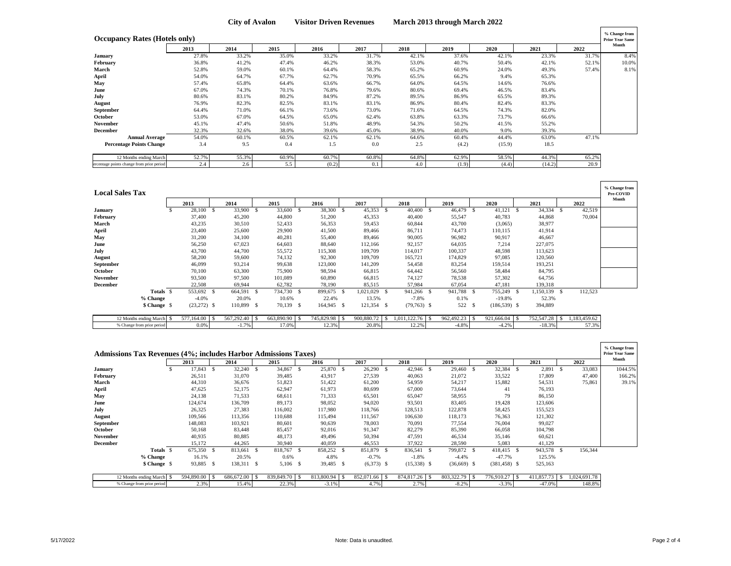| <b>Occupancy Rates (Hotels only)</b>      |       |       |       |       |       |       |       |        |        |       | % Change from<br><b>Prior Year Same</b> |
|-------------------------------------------|-------|-------|-------|-------|-------|-------|-------|--------|--------|-------|-----------------------------------------|
|                                           | 2013  | 2014  | 2015  | 2016  | 2017  | 2018  | 2019  | 2020   | 2021   | 2022  | Month                                   |
| January                                   | 27.8% | 33.2% | 35.0% | 33.2% | 31.7% | 42.1% | 37.6% | 42.1%  | 23.3%  | 31.7% | 8.4%                                    |
| February                                  | 36.8% | 41.2% | 47.4% | 46.2% | 38.3% | 53.0% | 40.7% | 50.4%  | 42.1%  | 52.1% | 10.0%                                   |
| March                                     | 52.8% | 59.0% | 60.1% | 64.4% | 58.3% | 65.2% | 60.9% | 24.0%  | 49.3%  | 57.4% | 8.1%                                    |
| April                                     | 54.0% | 64.7% | 67.7% | 62.7% | 70.9% | 65.5% | 66.2% | 9.4%   | 65.3%  |       |                                         |
| May                                       | 57.4% | 65.8% | 64.4% | 63.6% | 66.7% | 64.0% | 64.5% | 14.6%  | 76.6%  |       |                                         |
| June                                      | 67.0% | 74.3% | 70.1% | 76.8% | 79.6% | 80.6% | 69.4% | 46.5%  | 83.4%  |       |                                         |
| July                                      | 80.6% | 83.1% | 80.2% | 84.9% | 87.2% | 89.5% | 86.9% | 65.5%  | 89.3%  |       |                                         |
| August                                    | 76.9% | 82.3% | 82.5% | 83.1% | 83.1% | 86.9% | 80.4% | 82.4%  | 83.3%  |       |                                         |
| September                                 | 64.4% | 71.0% | 66.1% | 73.6% | 73.0% | 71.6% | 64.5% | 74.3%  | 82.0%  |       |                                         |
| October                                   | 53.0% | 67.0% | 64.5% | 65.0% | 62.4% | 63.8% | 63.3% | 73.7%  | 66.6%  |       |                                         |
| November                                  | 45.1% | 47.4% | 50.6% | 51.8% | 48.9% | 54.3% | 50.2% | 41.5%  | 55.2%  |       |                                         |
| December                                  | 32.3% | 32.6% | 38.0% | 39.6% | 45.0% | 38.9% | 40.0% | 9.0%   | 39.3%  |       |                                         |
| <b>Annual Average</b>                     | 54.0% | 60.1% | 60.5% | 62.1% | 62.1% | 64.6% | 60.4% | 44.4%  | 63.0%  | 47.1% |                                         |
| <b>Percentage Points Change</b>           | 3.4   | 9.5   | 0.4   | 1.5   | 0.0   | 2.5   | (4.2) | (15.9) | 18.5   |       |                                         |
| 12 Months ending March                    | 52.7% | 55.3% | 60.9% | 60.7% | 60.8% | 64.8% | 62.9% | 58.5%  | 44.3%  | 65.2% |                                         |
| ercentage points change from prior period | 2.4   | 2.6   | 5.5   | (0.2) | 0.1   | 4.0   | (1.9) | (4.4)  | (14.2) | 20.9  |                                         |

| <b>Local Sales Tax</b> |                            |               |            |      |               |            |              |     |               |    |            |                    |                 |                          |              |               |              | % Change from<br>Pre-COVID |
|------------------------|----------------------------|---------------|------------|------|---------------|------------|--------------|-----|---------------|----|------------|--------------------|-----------------|--------------------------|--------------|---------------|--------------|----------------------------|
|                        |                            | 2013          | 2014       |      | 2015          | 2016       | 2017         |     | 2018          |    | 2019       |                    | 2020            |                          | 2021         |               | 2022         | Month                      |
| <b>January</b>         |                            | 28,100 \$     | 33,900     | -S   | 33,600 \$     | 38,300 \$  | 45,353       | - S | 40,400        | -S | 46,479     | -S                 | 41,121          | - S                      | 34,334 \$    |               | 42,519       |                            |
| February               |                            | 37,400        | 45,200     |      | 44,800        | 51,200     | 45,353       |     | 40,400        |    | 55,547     |                    | 40,783          |                          | 44,868       |               | 70,004       |                            |
| March                  |                            | 43,235        | 30,510     |      | 52,433        | 56,353     | 59,453       |     | 60,844        |    | 43,700     |                    | (3,065)         |                          | 38,977       |               |              |                            |
| April                  |                            | 23,400        | 25,600     |      | 29,900        | 41,500     | 89,466       |     | 86,711        |    | 74,473     |                    | 110,115         |                          | 41,914       |               |              |                            |
| May                    |                            | 31,200        | 34,100     |      | 40,281        | 55,400     | 89,466       |     | 90,005        |    | 96,982     |                    | 90,917          |                          | 46,667       |               |              |                            |
| June                   |                            | 56,250        | 67,023     |      | 64,603        | 88,640     | 112,166      |     | 92,157        |    | 64,035     |                    | 7,214           |                          | 227,075      |               |              |                            |
| July                   |                            | 43,700        | 44,700     |      | 55,572        | 115,308    | 109,709      |     | 114,017       |    | 100,337    |                    | 48,598          |                          | 113,623      |               |              |                            |
| August                 |                            | 58,200        | 59,600     |      | 74,132        | 92,300     | 109,709      |     | 165,721       |    | 174,829    |                    | 97,085          |                          | 120,560      |               |              |                            |
| September              |                            | 46,099        | 93,214     |      | 99,638        | 123,000    | 141,209      |     | 54,458        |    | 83,254     |                    | 159,514         |                          | 193,251      |               |              |                            |
| October                |                            | 70,100        | 63,300     |      | 75,900        | 98,594     | 66,815       |     | 64,442        |    | 56,560     |                    | 58,484          |                          | 84,795       |               |              |                            |
| November               |                            | 93,500        | 97,500     |      | 101,089       | 60,890     | 66,815       |     | 74,127        |    | 78,538     |                    | 57,302          |                          | 64,756       |               |              |                            |
| <b>December</b>        |                            | 22,508        | 69,944     |      | 62,782        | 78,190     | 85,515       |     | 57,984        |    | 67,054     |                    | 47,181          |                          | 139,318      |               |              |                            |
|                        | Totals \$                  | 553,692 \$    | 664,591    | - \$ | 734,730 \$    | 899,675 \$ | 1,021,029 \$ |     | 941,266 \$    |    | 941,788 \$ |                    | 755,249 \$      |                          | 1,150,139 \$ |               | 112,523      |                            |
|                        | % Change                   | $-4.0%$       | 20.0%      |      | 10.6%         | 22.4%      | 13.5%        |     | $-7.8%$       |    | 0.1%       |                    | $-19.8%$        |                          | 52.3%        |               |              |                            |
|                        | \$ Change \$               | $(23,272)$ \$ | 110,899 \$ |      | 70,139 \$     | 164,945 \$ | $121,354$ \$ |     | $(79,763)$ \$ |    | 522        | -S                 | $(186, 539)$ \$ |                          | 394,889      |               |              |                            |
|                        |                            |               |            |      |               |            |              |     |               |    |            |                    |                 |                          |              |               |              |                            |
|                        | 12 Months ending March \$  | 577,164.00    | 567,292.40 |      | 663,890.90 \$ | 745,829.98 | 900,880.72   |     | 1,011,122.76  |    | 962,492.23 | $\hat{\mathbf{x}}$ | 921,666.04      | $\overline{\phantom{a}}$ | 752,547.28   | $\mathcal{S}$ | 1,183,459.62 |                            |
|                        | % Change from prior period | 0.0%          | $-1.7%$    |      | 17.0%         | 12.3%      | 20.8%        |     | 12.2%         |    | $-4.8%$    |                    | $-4.2%$         |                          | $-18.3%$     |               | 57.3%        |                            |

|                 | <b>Admissions Tax Revenues (4%; includes Harbor Admissions Taxes)</b> |            |    |            |     |            |    |            |              |     |               |      |               |      |                 |     |            |      |              | % Change from<br><b>Prior Year Same</b><br>Month |
|-----------------|-----------------------------------------------------------------------|------------|----|------------|-----|------------|----|------------|--------------|-----|---------------|------|---------------|------|-----------------|-----|------------|------|--------------|--------------------------------------------------|
|                 |                                                                       | 2013       |    | 2014       |     | 2015       |    | 2016       | 2017         |     | 2018          |      | 2019          |      | 2020            |     | 2021       |      | 2022         |                                                  |
| January         |                                                                       | 17,843     | -S | 32,240     | - S | 34,867     | -S | 25,870 \$  | 26,290       | - S | 42,946        | - \$ | 29,460        | - \$ | 32,384          | - S | 2,891      | - \$ | 33,083       | 1044.5%                                          |
| February        |                                                                       | 26,511     |    | 31,070     |     | 39,485     |    | 43,917     | 27,539       |     | 40,063        |      | 21,072        |      | 33,522          |     | 17,809     |      | 47,400       | 166.2%                                           |
| March           |                                                                       | 44,310     |    | 36,676     |     | 51,823     |    | 51,422     | 61,200       |     | 54,959        |      | 54,217        |      | 15,882          |     | 54,531     |      | 75,861       | 39.1%                                            |
| April           |                                                                       | 47,625     |    | 52,175     |     | 62,947     |    | 61,973     | 80,699       |     | 67,000        |      | 73,644        |      | 41              |     | 76,193     |      |              |                                                  |
| May             |                                                                       | 24,138     |    | 71,533     |     | 68,611     |    | 71,333     | 65,501       |     | 65,047        |      | 58,955        |      | 79              |     | 86,150     |      |              |                                                  |
| June            |                                                                       | 124,674    |    | 136,709    |     | 89,173     |    | 98,052     | 94,020       |     | 93,501        |      | 83,405        |      | 19,428          |     | 123,606    |      |              |                                                  |
| July            |                                                                       | 26,325     |    | 27,383     |     | 116,002    |    | 117,980    | 118,766      |     | 128,513       |      | 122,878       |      | 58,425          |     | 155,523    |      |              |                                                  |
| August          |                                                                       | 109,566    |    | 113,356    |     | 110,688    |    | 115,494    | 111,567      |     | 106,630       |      | 118,173       |      | 76,363          |     | 121,302    |      |              |                                                  |
| September       |                                                                       | 148,083    |    | 103,921    |     | 80,601     |    | 90,639     | 78,003       |     | 70,091        |      | 77,554        |      | 76,004          |     | 99,027     |      |              |                                                  |
| October         |                                                                       | 50,168     |    | 83,448     |     | 85,457     |    | 92,016     | 91,347       |     | 82,279        |      | 85,390        |      | 66,058          |     | 104,798    |      |              |                                                  |
| November        |                                                                       | 40,935     |    | 80,885     |     | 48,173     |    | 49,496     | 50,394       |     | 47,591        |      | 46,534        |      | 35,146          |     | 60,621     |      |              |                                                  |
| <b>December</b> |                                                                       | 15,172     |    | 44,265     |     | 30,940     |    | 40,059     | 46,553       |     | 37,922        |      | 28,590        |      | 5,083           |     | 41,129     |      |              |                                                  |
|                 | Totals \$                                                             | 675,350 \$ |    | 813,661 \$ |     | 818,767 \$ |    | 858,252 \$ | 851,879 \$   |     | 836,541 \$    |      | 799,872 \$    |      | 418,415 \$      |     | 943,578    | -8   | 156,344      |                                                  |
|                 | % Change                                                              | 16.1%      |    | 20.5%      |     | 0.6%       |    | 4.8%       | $-0.7%$      |     | $-1.8%$       |      | $-4.4%$       |      | $-47.7%$        |     | 125.5%     |      |              |                                                  |
|                 | \$ Change \$                                                          | 93,885 \$  |    | 138,311 \$ |     | 5,106 \$   |    | 39,485 \$  | $(6,373)$ \$ |     | $(15,338)$ \$ |      | $(36,669)$ \$ |      | $(381, 458)$ \$ |     | 525,163    |      |              |                                                  |
|                 |                                                                       |            |    |            |     |            |    |            |              |     |               |      |               |      |                 |     |            |      |              |                                                  |
|                 | 12 Months ending March \$                                             | 594,890.00 |    | 686,672.00 |     | 839,849.70 |    | 813,800.94 | 852,071.66   |     | 874,817.26    |      | 803,322.79    |      | 776,910.27      |     | 411,857.73 |      | 1,024,691.78 |                                                  |
|                 | % Change from prior period                                            | 2.3%       |    | 15.4%      |     | 22.3%      |    | $-3.1%$    | 4.7%         |     | 2.7%          |      | $-8.2%$       |      | $-3.3%$         |     | $-47.0%$   |      | 148.8%       |                                                  |

 $\mathbf{r}$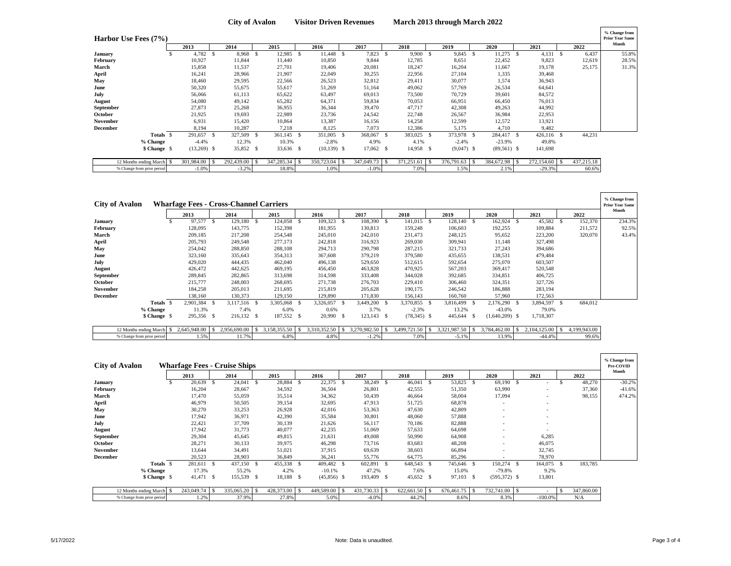|                 | Harbor Use Fees (7%)       |               |      |               |      |               |                |      |            |       |            |                          |              |                          |               |                 |            | % Change from<br><b>Prior Year Same</b> |
|-----------------|----------------------------|---------------|------|---------------|------|---------------|----------------|------|------------|-------|------------|--------------------------|--------------|--------------------------|---------------|-----------------|------------|-----------------------------------------|
|                 |                            | 2013          |      | 2014          |      | 2015          | 2016           |      | 2017       |       | 2018       |                          | 2019         |                          | 2020          | 2021            | 2022       | Month                                   |
| January         |                            | 4,782         | - S  | 8,968 \$      |      | $12,985$ \$   | $11,448$ \$    |      | 7,823 \$   |       | 9,900 S    |                          | 9,845 \$     |                          | $11,275$ \$   | $4,131$ \$      | 6,437      | 55.8%                                   |
| February        |                            | 10,927        |      | 11,844        |      | 11,440        | 10,850         |      | 9,844      |       | 12,785     |                          | 8,651        |                          | 22,452        | 9,823           | 12,619     | 28.5%                                   |
| March           |                            | 15,858        |      | 11,537        |      | 27,701        | 19,406         |      | 20,081     |       | 18,247     |                          | 16,204       |                          | 11,667        | 19,178          | 25,175     | 31.3%                                   |
| April           |                            | 16,241        |      | 28,966        |      | 21,907        | 22,049         |      | 30,255     |       | 22,956     |                          | 27,104       |                          | 1,335         | 39,468          |            |                                         |
| May             |                            | 18,460        |      | 29,595        |      | 22,566        | 26,523         |      | 32,812     |       | 29,411     |                          | 30,077       |                          | 1,574         | 36,943          |            |                                         |
| June            |                            | 50,320        |      | 55,675        |      | 55,617        | 51,269         |      | 51,164     |       | 49,062     |                          | 57,769       |                          | 26,534        | 64,641          |            |                                         |
| July            |                            | 56,066        |      | 61,113        |      | 65,622        | 63,497         |      | 69,013     |       | 73,500     |                          | 70,729       |                          | 39,601        | 84,572          |            |                                         |
| August          |                            | 54,080        |      | 49,142        |      | 65,282        | 64,371         |      | 59,834     |       | 70,053     |                          | 66,951       |                          | 66,450        | 76,013          |            |                                         |
| September       |                            | 27,873        |      | 25,268        |      | 36,955        | 36,344         |      | 39,470     |       | 47,717     |                          | 42,308       |                          | 49,263        | 44,992          |            |                                         |
| October         |                            | 21,925        |      | 19,693        |      | 22,989        | 23,736         |      | 24,542     |       | 22,748     |                          | 26,567       |                          | 36,984        | 22,953          |            |                                         |
| November        |                            | 6,931         |      | 15,420        |      | 10,864        | 13,387         |      | 16,156     |       | 14,258     |                          | 12,599       |                          | 12,572        | 13,921          |            |                                         |
| <b>December</b> |                            | 8,194         |      | 10,287        |      | 7,218         | 8,125          |      | 7,073      |       | 12,386     |                          | 5,175        |                          | 4,710         | 9,482           |            |                                         |
|                 | Totals \$                  | 291,657       | -8   | 327,509       | - \$ | 361,145 \$    | 351,005        | - \$ | 368,067    | - \$  | 383,025    | - \$                     | 373,978 \$   |                          | 284,417 \$    | $426,116$ \$    | 44,231     |                                         |
|                 | % Change                   | $-4.4%$       |      | 12.3%         |      | 10.3%         | $-2.8%$        |      | 4.9%       |       | 4.1%       |                          | $-2.4%$      |                          | $-23.9%$      | 49.8%           |            |                                         |
|                 | \$ Change \$               | $(13,269)$ \$ |      | 35,852 \$     |      | 33,636 \$     | $(10, 139)$ \$ |      | 17,062 \$  |       | 14,958 \$  |                          | $(9,047)$ \$ |                          | $(89,561)$ \$ | 141,698         |            |                                         |
|                 | 12 Months ending March \$  | 301,984.00    | - 25 | 292,439.00 \$ |      | 347,285.34 \$ | 350,723.04     |      | 347,049.73 | ∶l \$ | 371,251.61 | $\overline{\phantom{a}}$ | 376,791.63   | $\overline{\phantom{a}}$ | 384,672.98 \$ | $272,154.60$ \$ | 437,215.18 |                                         |
|                 | % Change from prior period | $-1.0%$       |      | $-3.2%$       |      | 18.8%         | 1.0%           |      | $-1.0%$    |       | 7.0%       |                          | 1.5%         |                          | 2.1%          | $-29.3%$        | 60.6%      |                                         |

|                 | <b>City of Avalon</b>      | 2013         |            | <b>Wharfage Fees - Cross-Channel Carriers</b><br>2014 | 2015         |      | 2016         |      | 2017         | 2018          |     | 2019         | 2020             |    | 2021         |    | 2022         | % Change from<br><b>Prior Year Same</b><br>Month |
|-----------------|----------------------------|--------------|------------|-------------------------------------------------------|--------------|------|--------------|------|--------------|---------------|-----|--------------|------------------|----|--------------|----|--------------|--------------------------------------------------|
| <b>January</b>  |                            |              | 97,577     | 129,180<br>- S                                        | 124,058      | - \$ | 109,323      | - \$ | 108,390      | 141,015       | - S | 128,140 \$   | 162,924          | -S | 45,582       | -S | 152,370      | 234.3%                                           |
| February        |                            |              | 128,095    | 143,775                                               | 152,398      |      | 181,955      |      | 130,813      | 159,248       |     | 106,603      | 192,255          |    | 109,884      |    | 211,572      | 92.5%                                            |
| March           |                            |              | 209,185    | 217,208                                               | 254,548      |      | 245,010      |      | 242,010      | 231,473       |     | 248,125      | 95,652           |    | 223,200      |    | 320,070      | 43.4%                                            |
| April           |                            |              | 205,793    | 249,548                                               | 277,173      |      | 242,818      |      | 316,923      | 269,030       |     | 309,941      | 11,148           |    | 327,498      |    |              |                                                  |
| May             |                            |              | 254,042    | 288,850                                               | 288,108      |      | 294,713      |      | 290,798      | 287,215       |     | 321,733      | 27,243           |    | 394,686      |    |              |                                                  |
| June            |                            |              | 323,160    | 335,643                                               | 354,313      |      | 367,608      |      | 379,219      | 379,580       |     | 435,655      | 138,531          |    | 479,484      |    |              |                                                  |
| July            |                            |              | 429,020    | 444,435                                               | 462,040      |      | 496,138      |      | 529,650      | 512,615       |     | 592,654      | 275,070          |    | 603,507      |    |              |                                                  |
| August          |                            |              | 426,472    | 442,625                                               | 469,195      |      | 456,450      |      | 463,828      | 470,925       |     | 567,203      | 369,417          |    | 520,548      |    |              |                                                  |
| September       |                            |              | 289,845    | 282,865                                               | 313,698      |      | 314,598      |      | 333,408      | 344,028       |     | 392,685      | 334,851          |    | 406,725      |    |              |                                                  |
| October         |                            |              | 215,777    | 248,003                                               | 268,695      |      | 271,738      |      | 276,703      | 229,410       |     | 306,460      | 324,351          |    | 327,726      |    |              |                                                  |
| November        |                            |              | 184,258    | 205,013                                               | 211,695      |      | 215,819      |      | 205,628      | 190,175       |     | 246,542      | 186,888          |    | 283,194      |    |              |                                                  |
| <b>December</b> |                            |              | 138,160    | 130,373                                               | 129,150      |      | 129,890      |      | 171,830      | 156,143       |     | 160,760      | 57,960           |    | 172,563      |    |              |                                                  |
|                 | Totals \$                  |              | 2,901,384  | 3,117,516 \$                                          | 3,305,068    | - \$ | 3,326,057    | - \$ | 3,449,200 \$ | 3,370,855     | - S | 3,816,499 \$ | 2,176,290 \$     |    | 3,894,597    | -S | 684,012      |                                                  |
|                 | % Change                   |              | 11.3%      | 7.4%                                                  | 6.0%         |      | 0.6%         |      | 3.7%         | $-2.3%$       |     | 13.2%        | $-43.0%$         |    | 79.0%        |    |              |                                                  |
|                 | \$ Change \$               |              | 295,356 \$ | 216,132 \$                                            | 187,552 \$   |      | 20,990       | - \$ | $123,143$ \$ | $(78,345)$ \$ |     | 445,644 \$   | $(1,640,209)$ \$ |    | 1,718,307    |    |              |                                                  |
|                 |                            |              |            |                                                       |              |      |              |      |              |               |     |              |                  |    |              |    |              |                                                  |
|                 | 12 Months ending March     | 2,645,948.00 |            | 2,956,690.00                                          | 3.158.355.50 |      | 3,310,352.50 |      | 3,270,982.50 | 3.499.721.50  |     | 3.321.987.50 | 3,784,462.00     |    | 2,104,125.00 |    | 4,199,943.00 |                                                  |
|                 | % Change from prior period |              | 1.5%       | 11.7%                                                 | 6.8%         |      | 4.8%         |      | $-1.2%$      | 7.0%          |     | $-5.1%$      | 13.9%            |    | -44.4%       |    | 99.6%        |                                                  |

| <b>City of Avalon</b> |                            | <b>Wharfage Fees - Cruise Ships</b> |    |            |    |            |     |               |      |               |      |            |    |            |     |                          |     |                          |    |            | % Change from<br>Pre-COVID |
|-----------------------|----------------------------|-------------------------------------|----|------------|----|------------|-----|---------------|------|---------------|------|------------|----|------------|-----|--------------------------|-----|--------------------------|----|------------|----------------------------|
|                       |                            | 2013                                |    | 2014       |    | 2015       |     | 2016          |      | 2017          |      | 2018       |    | 2019       |     | 2020                     |     | 2021                     |    | 2022       | Month                      |
| January               |                            | 20,639                              | -8 | 24,041     | -S | 28,884     | - S | 22,375        | - \$ | 38,249        | - \$ | 46,041     | -S | 53,825     | -\$ | 69,190                   |     | ۰                        |    | 48,270     | $-30.2%$                   |
| February              |                            | 16,204                              |    | 28,667     |    | 34,592     |     | 36,504        |      | 26,801        |      | 42,555     |    | 51,350     |     | 63,990                   |     | ٠                        |    | 37,360     | $-41.6%$                   |
| March                 |                            | 17,470                              |    | 55,059     |    | 35,514     |     | 34,362        |      | 50,439        |      | 46,664     |    | 58,004     |     | 17,094                   |     | ٠                        |    | 98,155     | 474.2%                     |
| April                 |                            | 46,979                              |    | 50,505     |    | 39,154     |     | 32,695        |      | 47,913        |      | 51,725     |    | 68,878     |     | $\overline{\phantom{a}}$ |     | ۰                        |    |            |                            |
| May                   |                            | 30,270                              |    | 33,253     |    | 26,928     |     | 42,016        |      | 53,363        |      | 47,630     |    | 42,809     |     | ٠                        |     | $\overline{\phantom{a}}$ |    |            |                            |
| June                  |                            | 17,942                              |    | 36,971     |    | 42,390     |     | 35,584        |      | 30,801        |      | 48,060     |    | 57,888     |     | ٠                        |     | ٠                        |    |            |                            |
| July                  |                            | 22,421                              |    | 37,709     |    | 30,139     |     | 21,626        |      | 56,117        |      | 70,186     |    | 82,888     |     | -                        |     | ٠                        |    |            |                            |
| August                |                            | 17,942                              |    | 31,773     |    | 40,077     |     | 42,235        |      | 51,069        |      | 57,633     |    | 64,698     |     | -                        |     |                          |    |            |                            |
| September             |                            | 29,304                              |    | 45,645     |    | 49,815     |     | 21,631        |      | 49,008        |      | 50,990     |    | 64,908     |     | $\overline{\phantom{a}}$ |     | 6,285                    |    |            |                            |
| October               |                            | 28,271                              |    | 30,133     |    | 39,975     |     | 46,298        |      | 73,716        |      | 83,683     |    | 48,208     |     | ٠                        |     | 46,075                   |    |            |                            |
| November              |                            | 13,644                              |    | 34,491     |    | 51,021     |     | 37,915        |      | 69,639        |      | 38,603     |    | 66,894     |     | ٠                        |     | 32,745                   |    |            |                            |
| December              |                            | 20,523                              |    | 28,903     |    | 36,849     |     | 36,241        |      | 55,776        |      | 64,775     |    | 85,296     |     |                          |     | 78,970                   |    |            |                            |
|                       | Totals \$                  | 281,611 \$                          |    | 437,150 \$ |    | 455,338 \$ |     | 409,482 \$    |      | 602,891 \$    |      | 648,543 \$ |    | 745,646 \$ |     | 150,274                  | - S | 164,075                  | -S | 183,785    |                            |
|                       | % Change                   | 17.3%                               |    | 55.2%      |    | 4.2%       |     | $-10.1%$      |      | 47.2%         |      | 7.6%       |    | 15.0%      |     | -79.8%                   |     | 9.2%                     |    |            |                            |
|                       | \$ Change \$               | 41,471 \$                           |    | 155,539 \$ |    | 18,188 \$  |     | $(45,856)$ \$ |      | 193,409 \$    |      | 45,652 \$  |    | 97,103 \$  |     | $(595,372)$ \$           |     | 13,801                   |    |            |                            |
|                       |                            |                                     |    |            |    |            |     |               |      |               |      |            |    |            |     |                          |     |                          |    |            |                            |
|                       | 12 Months ending March \$  | 243,049.74                          |    | 335,065.20 |    | 428,373.00 |     | 449,589.00 \$ |      | 431,730.33 \$ |      | 622,661.50 |    | 676,461.75 |     | 732,741.00 \$            |     |                          |    | 347,860.00 |                            |
|                       | % Change from prior period | 1.2%                                |    | 37.9%      |    | 27.8%      |     | 5.0%          |      | $-4.0%$       |      | 44.2%      |    | 8.6%       |     | 8.3%                     |     | $-100.0%$                |    | N/A        |                            |

**F**